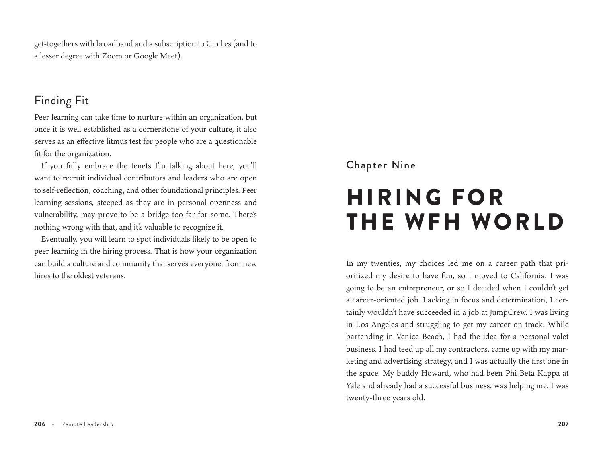get-togethers with broadband and a subscription to Circl.es (and to a lesser degree with Zoom or Google Meet).

### Finding Fit

Peer learning can take time to nurture within an organization, but once it is well established as a cornerstone of your culture, it also serves as an effective litmus test for people who are a questionable fit for the organization.

If you fully embrace the tenets I'm talking about here, you'll want to recruit individual contributors and leaders who are open to self-reflection, coaching, and other foundational principles. Peer learning sessions, steeped as they are in personal openness and vulnerability, may prove to be a bridge too far for some. There's nothing wrong with that, and it's valuable to recognize it.

Eventually, you will learn to spot individuals likely to be open to peer learning in the hiring process. That is how your organization can build a culture and community that serves everyone, from new hires to the oldest veterans.

#### Chapter Nine

## HIRING FOR THE WFH WORLD

In my twenties, my choices led me on a career path that prioritized my desire to have fun, so I moved to California. I was going to be an entrepreneur, or so I decided when I couldn't get a career-oriented job. Lacking in focus and determination, I certainly wouldn't have succeeded in a job at JumpCrew. I was living in Los Angeles and struggling to get my career on track. While bartending in Venice Beach, I had the idea for a personal valet business. I had teed up all my contractors, came up with my marketing and advertising strategy, and I was actually the first one in the space. My buddy Howard, who had been Phi Beta Kappa at Yale and already had a successful business, was helping me. I was twenty-three years old.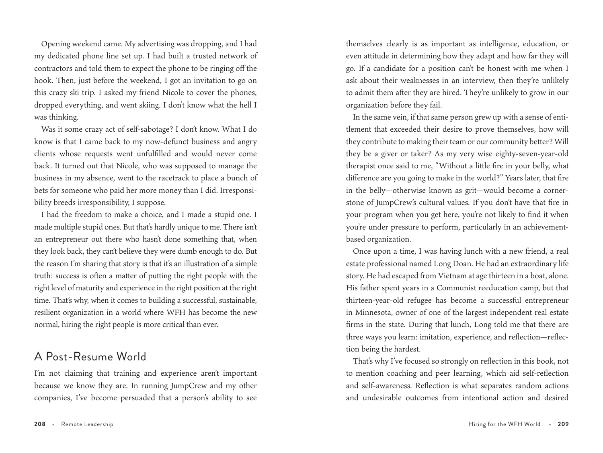Opening weekend came. My advertising was dropping, and I had my dedicated phone line set up. I had built a trusted network of contractors and told them to expect the phone to be ringing off the hook. Then, just before the weekend, I got an invitation to go on this crazy ski trip. I asked my friend Nicole to cover the phones, dropped everything, and went skiing. I don't know what the hell I was thinking.

Was it some crazy act of self-sabotage? I don't know. What I do know is that I came back to my now-defunct business and angry clients whose requests went unfulfilled and would never come back. It turned out that Nicole, who was supposed to manage the business in my absence, went to the racetrack to place a bunch of bets for someone who paid her more money than I did. Irresponsibility breeds irresponsibility, I suppose.

I had the freedom to make a choice, and I made a stupid one. I made multiple stupid ones. But that's hardly unique to me. There isn't an entrepreneur out there who hasn't done something that, when they look back, they can't believe they were dumb enough to do. But the reason I'm sharing that story is that it's an illustration of a simple truth: success is often a matter of putting the right people with the right level of maturity and experience in the right position at the right time. That's why, when it comes to building a successful, sustainable, resilient organization in a world where WFH has become the new normal, hiring the right people is more critical than ever.

#### A Post-Resume World

I'm not claiming that training and experience aren't important because we know they are. In running JumpCrew and my other companies, I've become persuaded that a person's ability to see

themselves clearly is as important as intelligence, education, or even attitude in determining how they adapt and how far they will go. If a candidate for a position can't be honest with me when I ask about their weaknesses in an interview, then they're unlikely to admit them after they are hired. They're unlikely to grow in our organization before they fail.

In the same vein, if that same person grew up with a sense of entitlement that exceeded their desire to prove themselves, how will they contribute to making their team or our community better? Will they be a giver or taker? As my very wise eighty-seven-year-old therapist once said to me, "Without a little fire in your belly, what difference are you going to make in the world?" Years later, that fire in the belly—otherwise known as grit—would become a cornerstone of JumpCrew's cultural values. If you don't have that fire in your program when you get here, you're not likely to find it when you're under pressure to perform, particularly in an achievementbased organization.

Once upon a time, I was having lunch with a new friend, a real estate professional named Long Doan. He had an extraordinary life story. He had escaped from Vietnam at age thirteen in a boat, alone. His father spent years in a Communist reeducation camp, but that thirteen-year-old refugee has become a successful entrepreneur in Minnesota, owner of one of the largest independent real estate firms in the state. During that lunch, Long told me that there are three ways you learn: imitation, experience, and reflection-reflection being the hardest.

That's why I've focused so strongly on reflection in this book, not to mention coaching and peer learning, which aid self-reflection and self-awareness. Reflection is what separates random actions and undesirable outcomes from intentional action and desired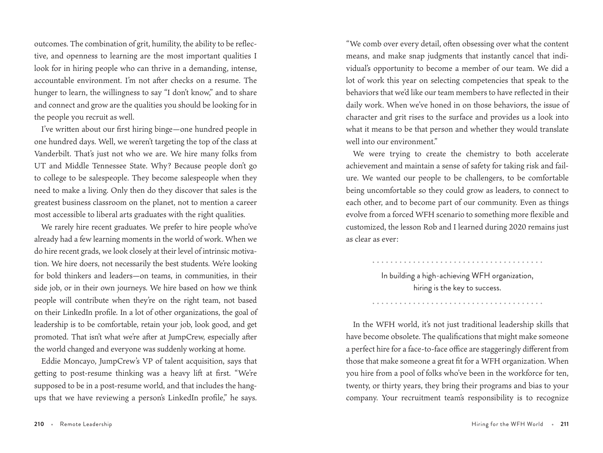outcomes. The combination of grit, humility, the ability to be reflective, and openness to learning are the most important qualities I look for in hiring people who can thrive in a demanding, intense, accountable environment. I'm not after checks on a resume. The hunger to learn, the willingness to say "I don't know," and to share and connect and grow are the qualities you should be looking for in the people you recruit as well.

I've written about our first hiring binge—one hundred people in one hundred days. Well, we weren't targeting the top of the class at Vanderbilt. That's just not who we are. We hire many folks from UT and Middle Tennessee State. Why? Because people don't go to college to be salespeople. They become salespeople when they need to make a living. Only then do they discover that sales is the greatest business classroom on the planet, not to mention a career most accessible to liberal arts graduates with the right qualities.

We rarely hire recent graduates. We prefer to hire people who've already had a few learning moments in the world of work. When we do hire recent grads, we look closely at their level of intrinsic motivation. We hire doers, not necessarily the best students. We're looking for bold thinkers and leaders—on teams, in communities, in their side job, or in their own journeys. We hire based on how we think people will contribute when they're on the right team, not based on their LinkedIn profile. In a lot of other organizations, the goal of leadership is to be comfortable, retain your job, look good, and get promoted. That isn't what we're after at JumpCrew, especially after the world changed and everyone was suddenly working at home.

Eddie Moncayo, JumpCrew's VP of talent acquisition, says that getting to post-resume thinking was a heavy lift at first. "We're supposed to be in a post-resume world, and that includes the hangups that we have reviewing a person's LinkedIn profile," he says.

"We comb over every detail, often obsessing over what the content means, and make snap judgments that instantly cancel that individual's opportunity to become a member of our team. We did a lot of work this year on selecting competencies that speak to the behaviors that we'd like our team members to have reflected in their daily work. When we've honed in on those behaviors, the issue of character and grit rises to the surface and provides us a look into what it means to be that person and whether they would translate well into our environment."

We were trying to create the chemistry to both accelerate achievement and maintain a sense of safety for taking risk and failure. We wanted our people to be challengers, to be comfortable being uncomfortable so they could grow as leaders, to connect to each other, and to become part of our community. Even as things evolve from a forced WFH scenario to something more flexible and customized, the lesson Rob and I learned during 2020 remains just as clear as ever:

> In building a high-achieving WFH organization, hiring is the key to success.

In the WFH world, it's not just traditional leadership skills that have become obsolete. The qualifications that might make someone a perfect hire for a face-to-face office are staggeringly different from those that make someone a great fit for a WFH organization. When you hire from a pool of folks who've been in the workforce for ten, twenty, or thirty years, they bring their programs and bias to your company. Your recruitment team's responsibility is to recognize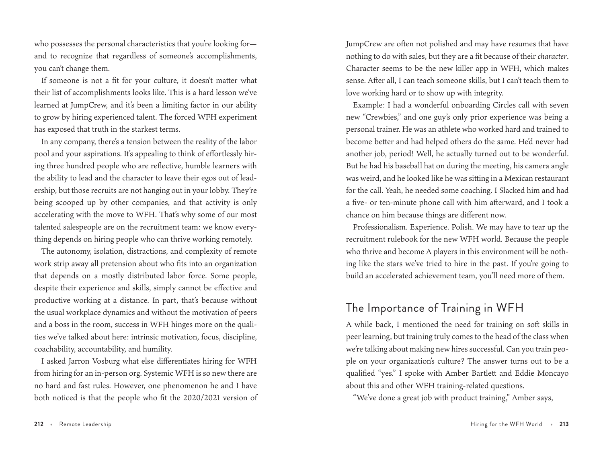who possesses the personal characteristics that you're looking forand to recognize that regardless of someone's accomplishments, you can't change them.

If someone is not a fit for your culture, it doesn't matter what their list of accomplishments looks like. This is a hard lesson we've learned at JumpCrew, and it's been a limiting factor in our ability to grow by hiring experienced talent. The forced WFH experiment has exposed that truth in the starkest terms.

In any company, there's a tension between the reality of the labor pool and your aspirations. It's appealing to think of effortlessly hiring three hundred people who are reflective, humble learners with the ability to lead and the character to leave their egos out of leadership, but those recruits are not hanging out in your lobby. They're being scooped up by other companies, and that activity is only accelerating with the move to WFH. That's why some of our most talented salespeople are on the recruitment team: we know everything depends on hiring people who can thrive working remotely.

The autonomy, isolation, distractions, and complexity of remote work strip away all pretension about who fits into an organization that depends on a mostly distributed labor force. Some people, despite their experience and skills, simply cannot be effective and productive working at a distance. In part, that's because without the usual workplace dynamics and without the motivation of peers and a boss in the room, success in WFH hinges more on the qualities we've talked about here: intrinsic motivation, focus, discipline, coachability, accountability, and humility.

I asked Jarron Vosburg what else differentiates hiring for WFH from hiring for an in-person org. Systemic WFH is so new there are no hard and fast rules. However, one phenomenon he and I have both noticed is that the people who fit the 2020/2021 version of JumpCrew are often not polished and may have resumes that have nothing to do with sales, but they are a fit because of their *character*. Character seems to be the new killer app in WFH, which makes sense. After all, I can teach someone skills, but I can't teach them to love working hard or to show up with integrity.

Example: I had a wonderful onboarding Circles call with seven new "Crewbies," and one guy's only prior experience was being a personal trainer. He was an athlete who worked hard and trained to become better and had helped others do the same. He'd never had another job, period! Well, he actually turned out to be wonderful. But he had his baseball hat on during the meeting, his camera angle was weird, and he looked like he was sitting in a Mexican restaurant for the call. Yeah, he needed some coaching. I Slacked him and had a five- or ten-minute phone call with him afterward, and I took a chance on him because things are different now.

Professionalism. Experience. Polish. We may have to tear up the recruitment rulebook for the new WFH world. Because the people who thrive and become A players in this environment will be nothing like the stars we've tried to hire in the past. If you're going to build an accelerated achievement team, you'll need more of them.

#### The Importance of Training in WFH

A while back, I mentioned the need for training on soft skills in peer learning, but training truly comes to the head of the class when we're talking about making new hires successful. Can you train people on your organization's culture? The answer turns out to be a qualified "yes." I spoke with Amber Bartlett and Eddie Moncayo about this and other WFH training-related questions.

"We've done a great job with product training," Amber says,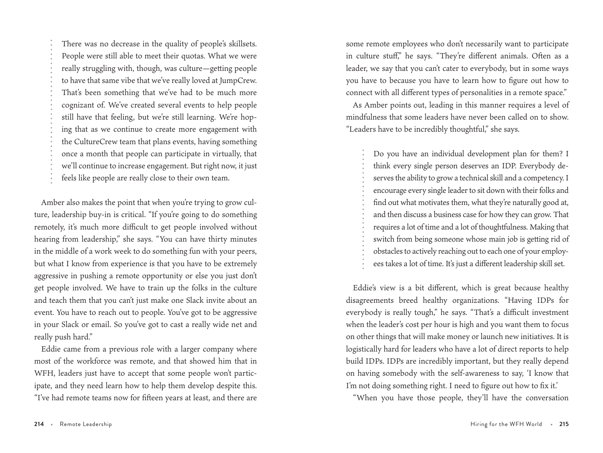There was no decrease in the quality of people's skillsets. People were still able to meet their quotas. What we were really struggling with, though, was culture-getting people to have that same vibe that we've really loved at JumpCrew. That's been something that we've had to be much more cognizant of. We've created several events to help people still have that feeling, but we're still learning. We're hoping that as we continue to create more engagement with the CultureCrew team that plans events, having something once a month that people can participate in virtually, that we'll continue to increase engagement. But right now, it just feels like people are really close to their own team.

Amber also makes the point that when you're trying to grow culture, leadership buy-in is critical. "If you're going to do something remotely, it's much more difficult to get people involved without hearing from leadership," she says. "You can have thirty minutes in the middle of a work week to do something fun with your peers, but what I know from experience is that you have to be extremely aggressive in pushing a remote opportunity or else you just don't get people involved. We have to train up the folks in the culture and teach them that you can't just make one Slack invite about an event. You have to reach out to people. You've got to be aggressive in your Slack or email. So you've got to cast a really wide net and really push hard."

Eddie came from a previous role with a larger company where most of the workforce was remote, and that showed him that in WFH, leaders just have to accept that some people won't participate, and they need learn how to help them develop despite this. "I've had remote teams now for fifteen years at least, and there are

some remote employees who don't necessarily want to participate in culture stuff," he says. "They're different animals. Often as a leader, we say that you can't cater to everybody, but in some ways you have to because you have to learn how to figure out how to connect with all different types of personalities in a remote space."

As Amber points out, leading in this manner requires a level of mindfulness that some leaders have never been called on to show. "Leaders have to be incredibly thoughtful," she says.

Do you have an individual development plan for them? I think every single person deserves an IDP. Everybody deserves the ability to grow a technical skill and a competency. I encourage every single leader to sit down with their folks and find out what motivates them, what they're naturally good at, and then discuss a business case for how they can grow. That requires a lot of time and a lot of thoughtfulness. Making that switch from being someone whose main job is getting rid of obstacles to actively reaching out to each one of your employees takes a lot of time. It's just a different leadership skill set.

Eddie's view is a bit different, which is great because healthy disagreements breed healthy organizations. "Having IDPs for everybody is really tough," he says. "That's a difficult investment when the leader's cost per hour is high and you want them to focus on other things that will make money or launch new initiatives. It is logistically hard for leaders who have a lot of direct reports to help build IDPs. IDPs are incredibly important, but they really depend on having somebody with the self-awareness to say, 'I know that I'm not doing something right. I need to figure out how to fix it.'

"When you have those people, they'll have the conversation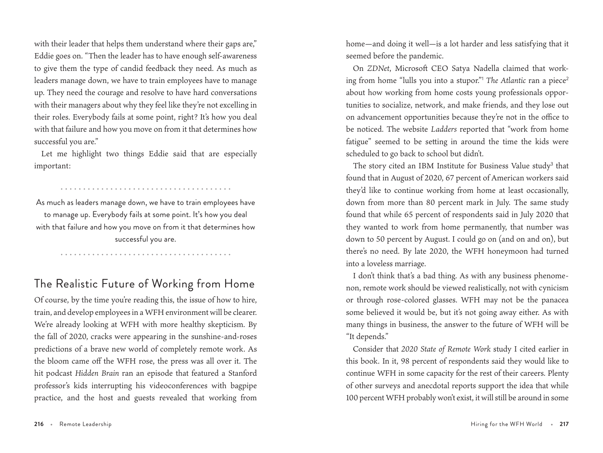with their leader that helps them understand where their gaps are," Eddie goes on. "Then the leader has to have enough self-awareness to give them the type of candid feedback they need. As much as leaders manage down, we have to train employees have to manage up. They need the courage and resolve to have hard conversations with their managers about why they feel like they're not excelling in their roles. Everybody fails at some point, right? It's how you deal with that failure and how you move on from it that determines how successful you are."

Let me highlight two things Eddie said that are especially important:

As much as leaders manage down, we have to train employees have to manage up. Everybody fails at some point. It's how you deal with that failure and how you move on from it that determines how successful you are.

The Realistic Future of Working from Home

Of course, by the time you're reading this, the issue of how to hire, train, and develop employees in a WFH environment will be clearer. We're already looking at WFH with more healthy skepticism. By the fall of 2020, cracks were appearing in the sunshine-and-roses predictions of a brave new world of completely remote work. As the bloom came off the WFH rose, the press was all over it. The hit podcast *Hidden Brain* ran an episode that featured a Stanford professor's kids interrupting his videoconferences with bagpipe practice, and the host and guests revealed that working from home—and doing it well—is a lot harder and less satisfying that it seemed before the pandemic.

On *ZDNet*, Microsoft CEO Satya Nadella claimed that working from home "lulls you into a stupor."<sup>1</sup> The Atlantic ran a piece<sup>2</sup> about how working from home costs young professionals opportunities to socialize, network, and make friends, and they lose out on advancement opportunities because they're not in the office to be noticed. The website *Ladders* reported that "work from home fatigue" seemed to be setting in around the time the kids were scheduled to go back to school but didn't.

The story cited an IBM Institute for Business Value study<sup>3</sup> that found that in August of 2020, 67 percent of American workers said they'd like to continue working from home at least occasionally, down from more than 80 percent mark in July. The same study found that while 65 percent of respondents said in July 2020 that they wanted to work from home permanently, that number was down to 50 percent by August. I could go on (and on and on), but there's no need. By late 2020, the WFH honeymoon had turned into a loveless marriage.

I don't think that's a bad thing. As with any business phenomenon, remote work should be viewed realistically, not with cynicism or through rose-colored glasses. WFH may not be the panacea some believed it would be, but it's not going away either. As with many things in business, the answer to the future of WFH will be "It depends."

Consider that *2020 State of Remote Work* study I cited earlier in this book. In it, 98 percent of respondents said they would like to continue WFH in some capacity for the rest of their careers. Plenty of other surveys and anecdotal reports support the idea that while 100 percent WFH probably won't exist, it will still be around in some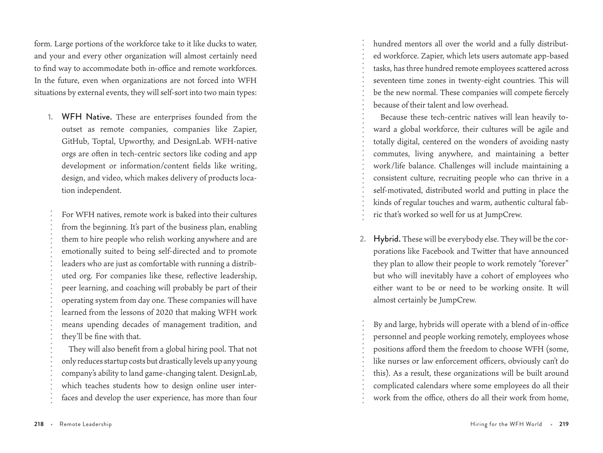form. Large portions of the workforce take to it like ducks to water, and your and every other organization will almost certainly need to find way to accommodate both in-office and remote workforces. In the future, even when organizations are not forced into WFH situations by external events, they will self-sort into two main types:

1. WFH Native. These are enterprises founded from the outset as remote companies, companies like Zapier, GitHub, Toptal, Upworthy, and DesignLab. WFH-native orgs are often in tech-centric sectors like coding and app development or information/content fields like writing, design, and video, which makes delivery of products location independent.

For WFH natives, remote work is baked into their cultures from the beginning. It's part of the business plan, enabling them to hire people who relish working anywhere and are emotionally suited to being self-directed and to promote leaders who are just as comfortable with running a distributed org. For companies like these, reflective leadership, peer learning, and coaching will probably be part of their operating system from day one. These companies will have learned from the lessons of 2020 that making WFH work means upending decades of management tradition, and they'll be fine with that.

They will also benefit from a global hiring pool. That not only reduces startup costs but drastically levels up any young company's ability to land game-changing talent. DesignLab, which teaches students how to design online user interfaces and develop the user experience, has more than four hundred mentors all over the world and a fully distributed workforce. Zapier, which lets users automate app-based tasks, has three hundred remote employees scattered across seventeen time zones in twenty-eight countries. This will be the new normal. These companies will compete fiercely because of their talent and low overhead.

Because these tech-centric natives will lean heavily toward a global workforce, their cultures will be agile and totally digital, centered on the wonders of avoiding nasty commutes, living anywhere, and maintaining a better work/life balance. Challenges will include maintaining a consistent culture, recruiting people who can thrive in a self-motivated, distributed world and putting in place the kinds of regular touches and warm, authentic cultural fabric that's worked so well for us at JumpCrew.

2. Hybrid. These will be everybody else. They will be the corporations like Facebook and Twitter that have announced they plan to allow their people to work remotely "forever" but who will inevitably have a cohort of employees who either want to be or need to be working onsite. It will almost certainly be JumpCrew.

By and large, hybrids will operate with a blend of in-office personnel and people working remotely, employees whose positions afford them the freedom to choose WFH (some, like nurses or law enforcement officers, obviously can't do this). As a result, these organizations will be built around complicated calendars where some employees do all their work from the office, others do all their work from home,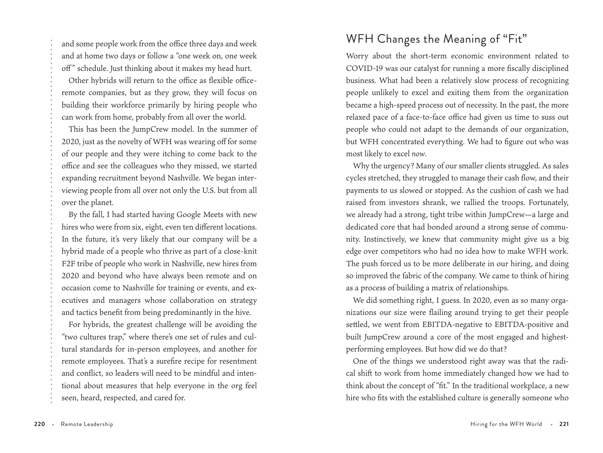and some people work from the office three days and week and at home two days or follow a "one week on, one week off" schedule. Just thinking about it makes my head hurt.

Other hybrids will return to the office as flexible officeremote companies, but as they grow, they will focus on building their workforce primarily by hiring people who can work from home, probably from all over the world.

This has been the JumpCrew model. In the summer of 2020, just as the novelty of WFH was wearing off for some of our people and they were itching to come back to the office and see the colleagues who they missed, we started expanding recruitment beyond Nashville. We began interviewing people from all over not only the U.S. but from all over the planet.

By the fall, I had started having Google Meets with new hires who were from six, eight, even ten different locations. In the future, it's very likely that our company will be a hybrid made of a people who thrive as part of a close-knit F2F tribe of people who work in Nashville, new hires from 2020 and beyond who have always been remote and on occasion come to Nashville for training or events, and executives and managers whose collaboration on strategy and tactics benefit from being predominantly in the hive.

For hybrids, the greatest challenge will be avoiding the "two cultures trap," where there's one set of rules and cultural standards for in-person employees, and another for remote employees. That's a surefire recipe for resentment and conflict, so leaders will need to be mindful and intentional about measures that help everyone in the org feel seen, heard, respected, and cared for.

#### WFH Changes the Meaning of "Fit"

Worry about the short-term economic environment related to COVID-19 was our catalyst for running a more fiscally disciplined business. What had been a relatively slow process of recognizing people unlikely to excel and exiting them from the organization became a high-speed process out of necessity. In the past, the more relaxed pace of a face-to-face office had given us time to suss out people who could not adapt to the demands of our organization, but WFH concentrated everything. We had to figure out who was most likely to excel *now*.

Why the urgency? Many of our smaller clients struggled. As sales cycles stretched, they struggled to manage their cash flow, and their payments to us slowed or stopped. As the cushion of cash we had raised from investors shrank, we rallied the troops. Fortunately, we already had a strong, tight tribe within JumpCrew—a large and dedicated core that had bonded around a strong sense of community. Instinctively, we knew that community might give us a big edge over competitors who had no idea how to make WFH work. The push forced us to be more deliberate in our hiring, and doing so improved the fabric of the company. We came to think of hiring as a process of building a matrix of relationships.

We did something right, I guess. In 2020, even as so many organizations our size were flailing around trying to get their people settled, we went from EBITDA-negative to EBITDA-positive and built JumpCrew around a core of the most engaged and highestperforming employees. But how did we do that?

One of the things we understood right away was that the radical shift to work from home immediately changed how we had to think about the concept of "fit." In the traditional workplace, a new hire who fits with the established culture is generally someone who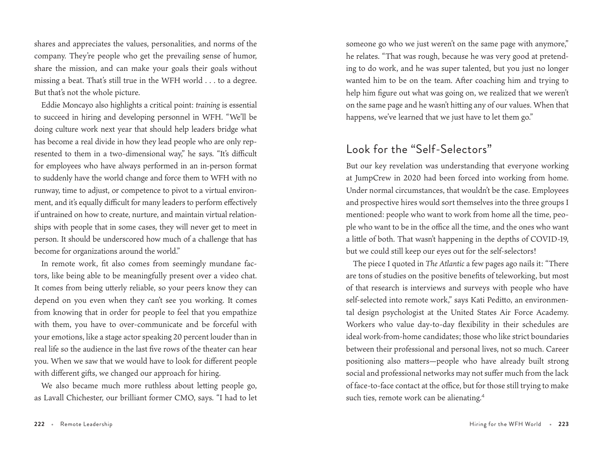shares and appreciates the values, personalities, and norms of the company. They're people who get the prevailing sense of humor, share the mission, and can make your goals their goals without missing a beat. That's still true in the WFH world  $\dots$  to a degree. But that's not the whole picture.

Eddie Moncayo also highlights a critical point: *training* is essential to succeed in hiring and developing personnel in WFH. "We'll be doing culture work next year that should help leaders bridge what has become a real divide in how they lead people who are only represented to them in a two-dimensional way," he says. "It's difficult for employees who have always performed in an in-person format to suddenly have the world change and force them to WFH with no runway, time to adjust, or competence to pivot to a virtual environment, and it's equally difficult for many leaders to perform effectively if untrained on how to create, nurture, and maintain virtual relationships with people that in some cases, they will never get to meet in person. It should be underscored how much of a challenge that has become for organizations around the world."

In remote work, fit also comes from seemingly mundane factors, like being able to be meaningfully present over a video chat. It comes from being utterly reliable, so your peers know they can depend on you even when they can't see you working. It comes from knowing that in order for people to feel that you empathize with them, you have to over-communicate and be forceful with your emotions, like a stage actor speaking 20 percent louder than in real life so the audience in the last five rows of the theater can hear you. When we saw that we would have to look for different people with different gifts, we changed our approach for hiring.

We also became much more ruthless about letting people go, as Lavall Chichester, our brilliant former CMO, says. "I had to let someone go who we just weren't on the same page with anymore," he relates. "That was rough, because he was very good at pretending to do work, and he was super talented, but you just no longer wanted him to be on the team. After coaching him and trying to help him figure out what was going on, we realized that we weren't on the same page and he wasn't hitting any of our values. When that happens, we've learned that we just have to let them go."

#### Look for the "Self-Selectors"

But our key revelation was understanding that everyone working at JumpCrew in 2020 had been forced into working from home. Under normal circumstances, that wouldn't be the case. Employees and prospective hires would sort themselves into the three groups I mentioned: people who want to work from home all the time, people who want to be in the office all the time, and the ones who want a little of both. That wasn't happening in the depths of COVID-19, but we could still keep our eyes out for the self-selectors!

The piece I quoted in *The Atlantic* a few pages ago nails it: "There are tons of studies on the positive benefits of teleworking, but most of that research is interviews and surveys with people who have self-selected into remote work," says Kati Peditto, an environmental design psychologist at the United States Air Force Academy. Workers who value day-to-day flexibility in their schedules are ideal work-from-home candidates; those who like strict boundaries between their professional and personal lives, not so much. Career positioning also matters—people who have already built strong social and professional networks may not suffer much from the lack of face-to-face contact at the office, but for those still trying to make such ties, remote work can be alienating.<sup>4</sup>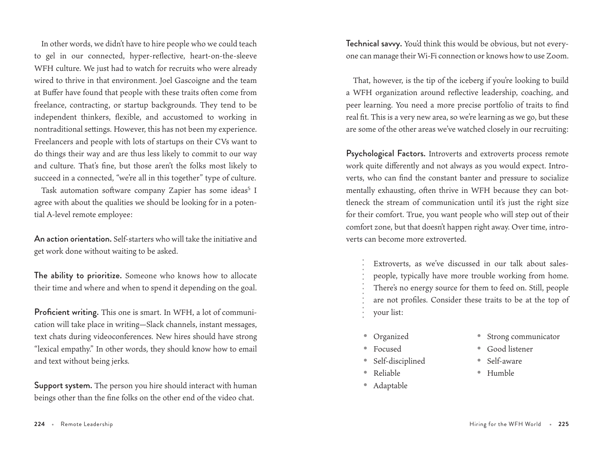In other words, we didn't have to hire people who we could teach to gel in our connected, hyper-reflective, heart-on-the-sleeve WFH culture. We just had to watch for recruits who were already wired to thrive in that environment. Joel Gascoigne and the team at Buffer have found that people with these traits often come from freelance, contracting, or startup backgrounds. They tend to be independent thinkers, flexible, and accustomed to working in nontraditional settings. However, this has not been my experience. Freelancers and people with lots of startups on their CVs want to do things their way and are thus less likely to commit to our way and culture. That's fine, but those aren't the folks most likely to succeed in a connected, "we're all in this together" type of culture.

Task automation software company Zapier has some ideas<sup>5</sup> I agree with about the qualities we should be looking for in a potential A-level remote employee:

An action orientation. Self-starters who will take the initiative and get work done without waiting to be asked.

The ability to prioritize. Someone who knows how to allocate their time and where and when to spend it depending on the goal.

Proficient writing. This one is smart. In WFH, a lot of communication will take place in writing—Slack channels, instant messages, text chats during videoconferences. New hires should have strong "lexical empathy." In other words, they should know how to email and text without being jerks.

Support system. The person you hire should interact with human beings other than the fine folks on the other end of the video chat.

Technical savvy. You'd think this would be obvious, but not everyone can manage their Wi-Fi connection or knows how to use Zoom.

That, however, is the tip of the iceberg if you're looking to build a WFH organization around reflective leadership, coaching, and peer learning. You need a more precise portfolio of traits to find real fit. This is a very new area, so we're learning as we go, but these are some of the other areas we've watched closely in our recruiting:

Psychological Factors. Introverts and extroverts process remote work quite differently and not always as you would expect. Introverts, who can find the constant banter and pressure to socialize mentally exhausting, often thrive in WFH because they can bottleneck the stream of communication until it's just the right size for their comfort. True, you want people who will step out of their comfort zone, but that doesn't happen right away. Over time, introverts can become more extroverted.

Extroverts, as we've discussed in our talk about salespeople, typically have more trouble working from home. There's no energy source for them to feed on. Still, people are not profiles. Consider these traits to be at the top of your list:

- Organized
- Focused
- Self-disciplined
- Reliable
- Adaptable
- Strong communicator
- Good listener
- Self-aware
- Humble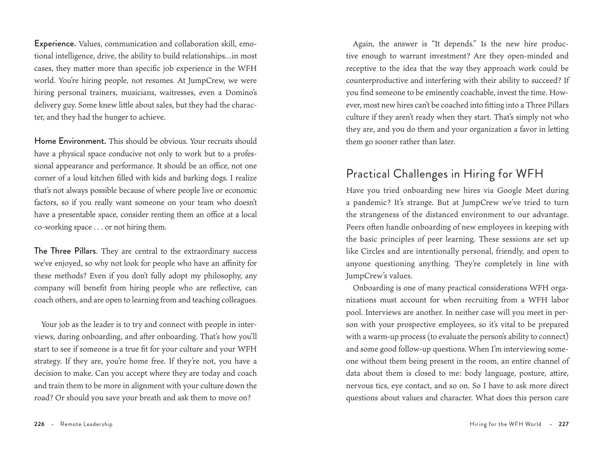Experience. Values, communication and collaboration skill, emotional intelligence, drive, the ability to build relationships…in most cases, they matter more than specific job experience in the WFH world. You're hiring people, not resumes. At JumpCrew, we were hiring personal trainers, musicians, waitresses, even a Domino's delivery guy. Some knew little about sales, but they had the character, and they had the hunger to achieve.

Home Environment. This should be obvious. Your recruits should have a physical space conducive not only to work but to a professional appearance and performance. It should be an office, not one corner of a loud kitchen filled with kids and barking dogs. I realize that's not always possible because of where people live or economic factors, so if you really want someone on your team who doesn't have a presentable space, consider renting them an office at a local co-working space . . . or not hiring them.

The Three Pillars. They are central to the extraordinary success we've enjoyed, so why not look for people who have an affinity for these methods? Even if you don't fully adopt my philosophy, any company will benefit from hiring people who are reflective, can coach others, and are open to learning from and teaching colleagues.

Your job as the leader is to try and connect with people in interviews, during onboarding, and after onboarding. That's how you'll start to see if someone is a true fit for your culture and your WFH strategy. If they are, you're home free. If they're not, you have a decision to make. Can you accept where they are today and coach and train them to be more in alignment with your culture down the road? Or should you save your breath and ask them to move on?

Again, the answer is "It depends." Is the new hire productive enough to warrant investment? Are they open-minded and receptive to the idea that the way they approach work could be counterproductive and interfering with their ability to succeed? If you find someone to be eminently coachable, invest the time. However, most new hires can't be coached into fitting into a Three Pillars culture if they aren't ready when they start. That's simply not who they are, and you do them and your organization a favor in letting them go sooner rather than later.

#### Practical Challenges in Hiring for WFH

Have you tried onboarding new hires via Google Meet during a pandemic? It's strange. But at JumpCrew we've tried to turn the strangeness of the distanced environment to our advantage. Peers often handle onboarding of new employees in keeping with the basic principles of peer learning. These sessions are set up like Circles and are intentionally personal, friendly, and open to anyone questioning anything. They're completely in line with JumpCrew's values.

Onboarding is one of many practical considerations WFH organizations must account for when recruiting from a WFH labor pool. Interviews are another. In neither case will you meet in person with your prospective employees, so it's vital to be prepared with a warm-up process (to evaluate the person's ability to connect) and some good follow-up questions. When I'm interviewing someone without them being present in the room, an entire channel of data about them is closed to me: body language, posture, attire, nervous tics, eye contact, and so on. So I have to ask more direct questions about values and character. What does this person care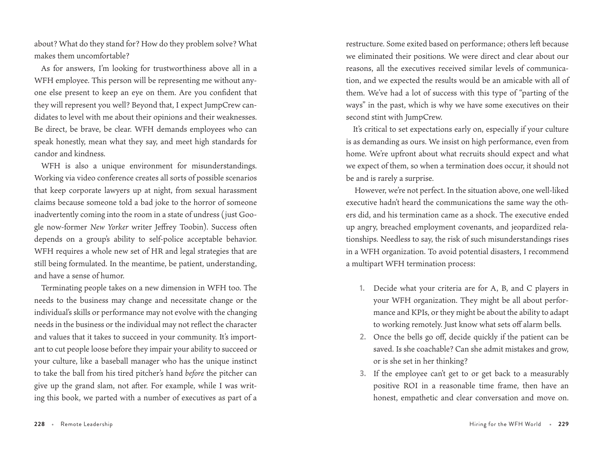about? What do they stand for? How do they problem solve? What makes them uncomfortable?

As for answers, I'm looking for trustworthiness above all in a WFH employee. This person will be representing me without anyone else present to keep an eye on them. Are you confident that they will represent you well? Beyond that, I expect JumpCrew candidates to level with me about their opinions and their weaknesses. Be direct, be brave, be clear. WFH demands employees who can speak honestly, mean what they say, and meet high standards for candor and kindness.

WFH is also a unique environment for misunderstandings. Working via video conference creates all sorts of possible scenarios that keep corporate lawyers up at night, from sexual harassment claims because someone told a bad joke to the horror of someone inadvertently coming into the room in a state of undress (just Google now-former *New Yorker* writer Jeffrey Toobin). Success often depends on a group's ability to self-police acceptable behavior. WFH requires a whole new set of HR and legal strategies that are still being formulated. In the meantime, be patient, understanding, and have a sense of humor.

Terminating people takes on a new dimension in WFH too. The needs to the business may change and necessitate change or the individual's skills or performance may not evolve with the changing needs in the business or the individual may not reflect the character and values that it takes to succeed in your community. It's important to cut people loose before they impair your ability to succeed or your culture, like a baseball manager who has the unique instinct to take the ball from his tired pitcher's hand *before* the pitcher can give up the grand slam, not after. For example, while I was writing this book, we parted with a number of executives as part of a restructure. Some exited based on performance; others left because we eliminated their positions. We were direct and clear about our reasons, all the executives received similar levels of communication, and we expected the results would be an amicable with all of them. We've had a lot of success with this type of "parting of the ways" in the past, which is why we have some executives on their second stint with JumpCrew.

It's critical to set expectations early on, especially if your culture is as demanding as ours. We insist on high performance, even from home. We're upfront about what recruits should expect and what we expect of them, so when a termination does occur, it should not be and is rarely a surprise.

 However, we're not perfect. In the situation above, one well-liked executive hadn't heard the communications the same way the others did, and his termination came as a shock. The executive ended up angry, breached employment covenants, and jeopardized relationships. Needless to say, the risk of such misunderstandings rises in a WFH organization. To avoid potential disasters, I recommend a multipart WFH termination process:

- **1.** Decide what your criteria are for A, B, and C players in your WFH organization. They might be all about performance and KPIs, or they might be about the ability to adapt to working remotely. Just know what sets off alarm bells.
- **2.** Once the bells go off, decide quickly if the patient can be saved. Is she coachable? Can she admit mistakes and grow, or is she set in her thinking?
- **3.** If the employee can't get to or get back to a measurably positive ROI in a reasonable time frame, then have an honest, empathetic and clear conversation and move on.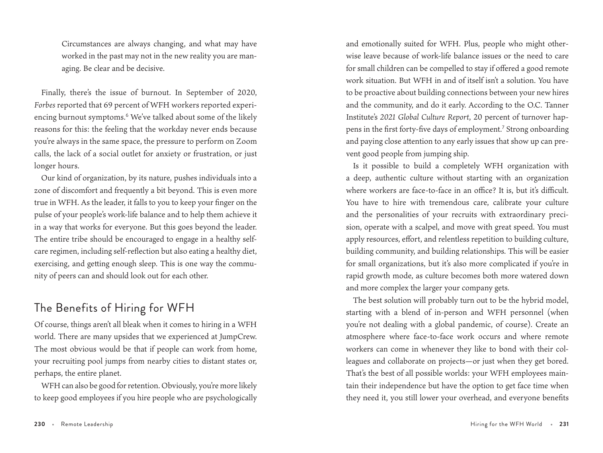Circumstances are always changing, and what may have worked in the past may not in the new reality you are managing. Be clear and be decisive.

Finally, there's the issue of burnout. In September of 2020, *Forbes* reported that 69 percent of WFH workers reported experiencing burnout symptoms.<sup>6</sup> We've talked about some of the likely reasons for this: the feeling that the workday never ends because you're always in the same space, the pressure to perform on Zoom calls, the lack of a social outlet for anxiety or frustration, or just longer hours.

Our kind of organization, by its nature, pushes individuals into a zone of discomfort and frequently a bit beyond. This is even more true in WFH. As the leader, it falls to you to keep your finger on the pulse of your people's work-life balance and to help them achieve it in a way that works for everyone. But this goes beyond the leader. The entire tribe should be encouraged to engage in a healthy selfcare regimen, including self-reflection but also eating a healthy diet, exercising, and getting enough sleep. This is one way the community of peers can and should look out for each other.

#### The Benefits of Hiring for WFH

Of course, things aren't all bleak when it comes to hiring in a WFH world. There are many upsides that we experienced at JumpCrew. The most obvious would be that if people can work from home, your recruiting pool jumps from nearby cities to distant states or, perhaps, the entire planet.

WFH can also be good for retention. Obviously, you're more likely to keep good employees if you hire people who are psychologically and emotionally suited for WFH. Plus, people who might otherwise leave because of work-life balance issues or the need to care for small children can be compelled to stay if offered a good remote work situation. But WFH in and of itself isn't a solution. You have to be proactive about building connections between your new hires and the community, and do it early. According to the O.C. Tanner Institute's *2021 Global Culture Report*, 20 percent of turnover happens in the first forty-five days of employment.<sup>7</sup> Strong onboarding and paying close attention to any early issues that show up can prevent good people from jumping ship.

Is it possible to build a completely WFH organization with a deep, authentic culture without starting with an organization where workers are face-to-face in an office? It is, but it's difficult. You have to hire with tremendous care, calibrate your culture and the personalities of your recruits with extraordinary precision, operate with a scalpel, and move with great speed. You must apply resources, effort, and relentless repetition to building culture, building community, and building relationships. This will be easier for small organizations, but it's also more complicated if you're in rapid growth mode, as culture becomes both more watered down and more complex the larger your company gets.

The best solution will probably turn out to be the hybrid model, starting with a blend of in-person and WFH personnel (when you're not dealing with a global pandemic, of course). Create an atmosphere where face-to-face work occurs and where remote workers can come in whenever they like to bond with their colleagues and collaborate on projects—or just when they get bored. That's the best of all possible worlds: your WFH employees maintain their independence but have the option to get face time when they need it, you still lower your overhead, and everyone benefits